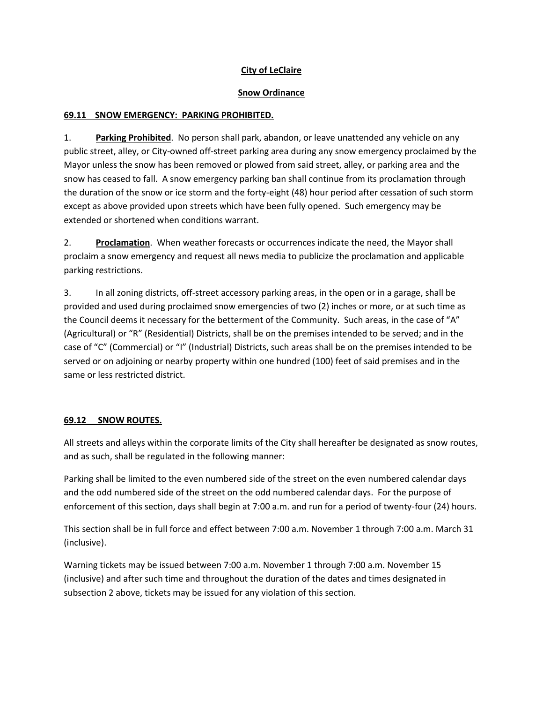## **City of LeClaire**

## **Snow Ordinance**

## **69.11 SNOW EMERGENCY: PARKING PROHIBITED.**

1. **Parking Prohibited**. No person shall park, abandon, or leave unattended any vehicle on any public street, alley, or City-owned off-street parking area during any snow emergency proclaimed by the Mayor unless the snow has been removed or plowed from said street, alley, or parking area and the snow has ceased to fall. A snow emergency parking ban shall continue from its proclamation through the duration of the snow or ice storm and the forty-eight (48) hour period after cessation of such storm except as above provided upon streets which have been fully opened. Such emergency may be extended or shortened when conditions warrant.

2. **Proclamation**. When weather forecasts or occurrences indicate the need, the Mayor shall proclaim a snow emergency and request all news media to publicize the proclamation and applicable parking restrictions.

3. In all zoning districts, off-street accessory parking areas, in the open or in a garage, shall be provided and used during proclaimed snow emergencies of two (2) inches or more, or at such time as the Council deems it necessary for the betterment of the Community. Such areas, in the case of "A" (Agricultural) or "R" (Residential) Districts, shall be on the premises intended to be served; and in the case of "C" (Commercial) or "I" (Industrial) Districts, such areas shall be on the premises intended to be served or on adjoining or nearby property within one hundred (100) feet of said premises and in the same or less restricted district.

## **69.12 SNOW ROUTES.**

All streets and alleys within the corporate limits of the City shall hereafter be designated as snow routes, and as such, shall be regulated in the following manner:

Parking shall be limited to the even numbered side of the street on the even numbered calendar days and the odd numbered side of the street on the odd numbered calendar days. For the purpose of enforcement of this section, days shall begin at 7:00 a.m. and run for a period of twenty-four (24) hours.

This section shall be in full force and effect between 7:00 a.m. November 1 through 7:00 a.m. March 31 (inclusive).

Warning tickets may be issued between 7:00 a.m. November 1 through 7:00 a.m. November 15 (inclusive) and after such time and throughout the duration of the dates and times designated in subsection 2 above, tickets may be issued for any violation of this section.